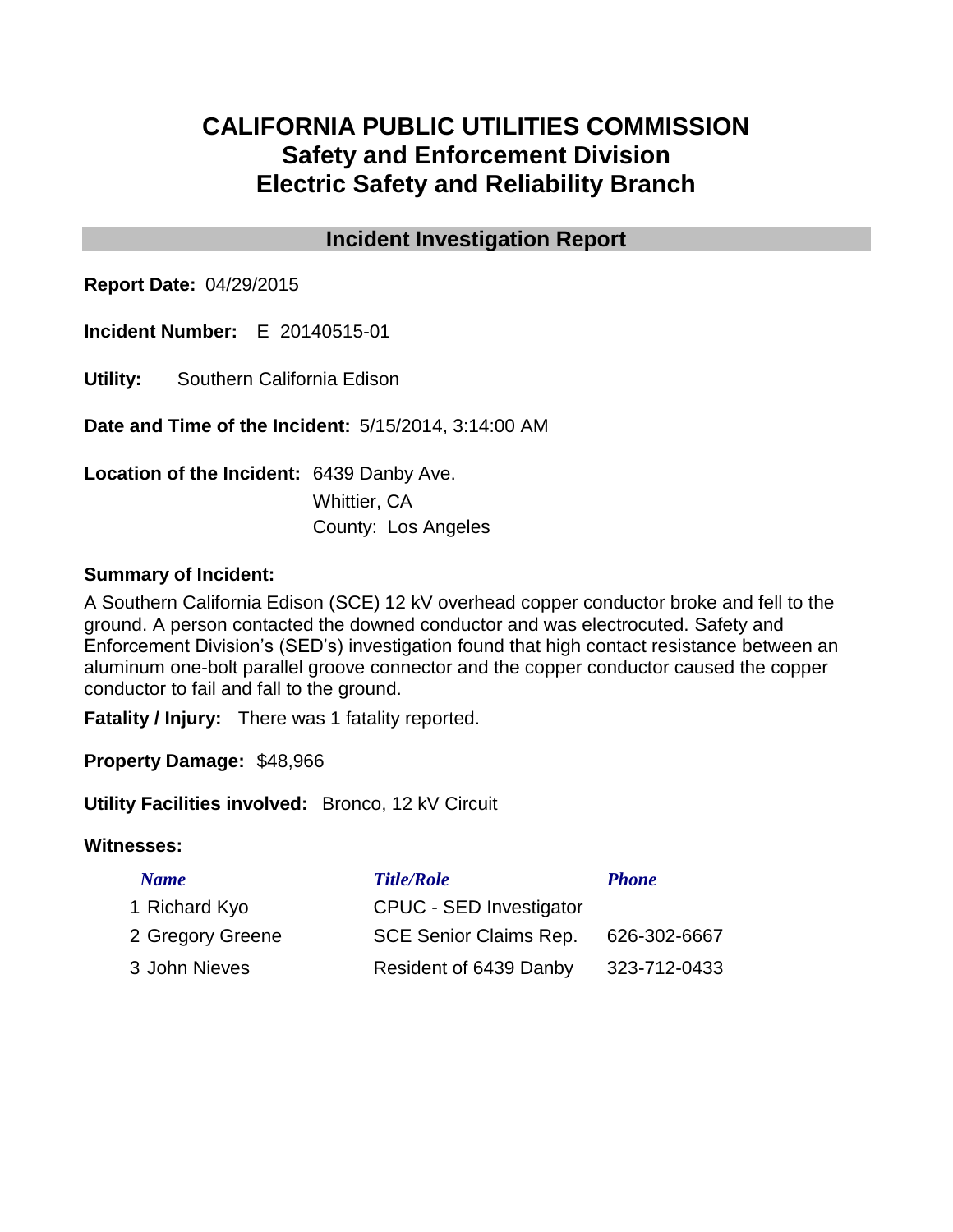## **CALIFORNIA PUBLIC UTILITIES COMMISSION Safety and Enforcement Division Electric Safety and Reliability Branch**

## **Incident Investigation Report**

**Report Date:** 04/29/2015

**Incident Number:** E 20140515-01

**Utility:** Southern California Edison

**Date and Time of the Incident:** 5/15/2014, 3:14:00 AM

**Location of the Incident:** 6439 Danby Ave.

Whittier, CA County: Los Angeles

### **Summary of Incident:**

A Southern California Edison (SCE) 12 kV overhead copper conductor broke and fell to the ground. A person contacted the downed conductor and was electrocuted. Safety and Enforcement Division's (SED's) investigation found that high contact resistance between an aluminum one-bolt parallel groove connector and the copper conductor caused the copper conductor to fail and fall to the ground.

**Fatality / Injury:** There was 1 fatality reported.

**Property Damage:** \$48,966

**Utility Facilities involved:** Bronco, 12 kV Circuit

#### **Witnesses:**

| <b>Name</b>      | <b>Title/Role</b>              | <b>Phone</b> |
|------------------|--------------------------------|--------------|
| 1 Richard Kyo    | <b>CPUC - SED Investigator</b> |              |
| 2 Gregory Greene | <b>SCE Senior Claims Rep.</b>  | 626-302-6667 |
| 3 John Nieves    | Resident of 6439 Danby         | 323-712-0433 |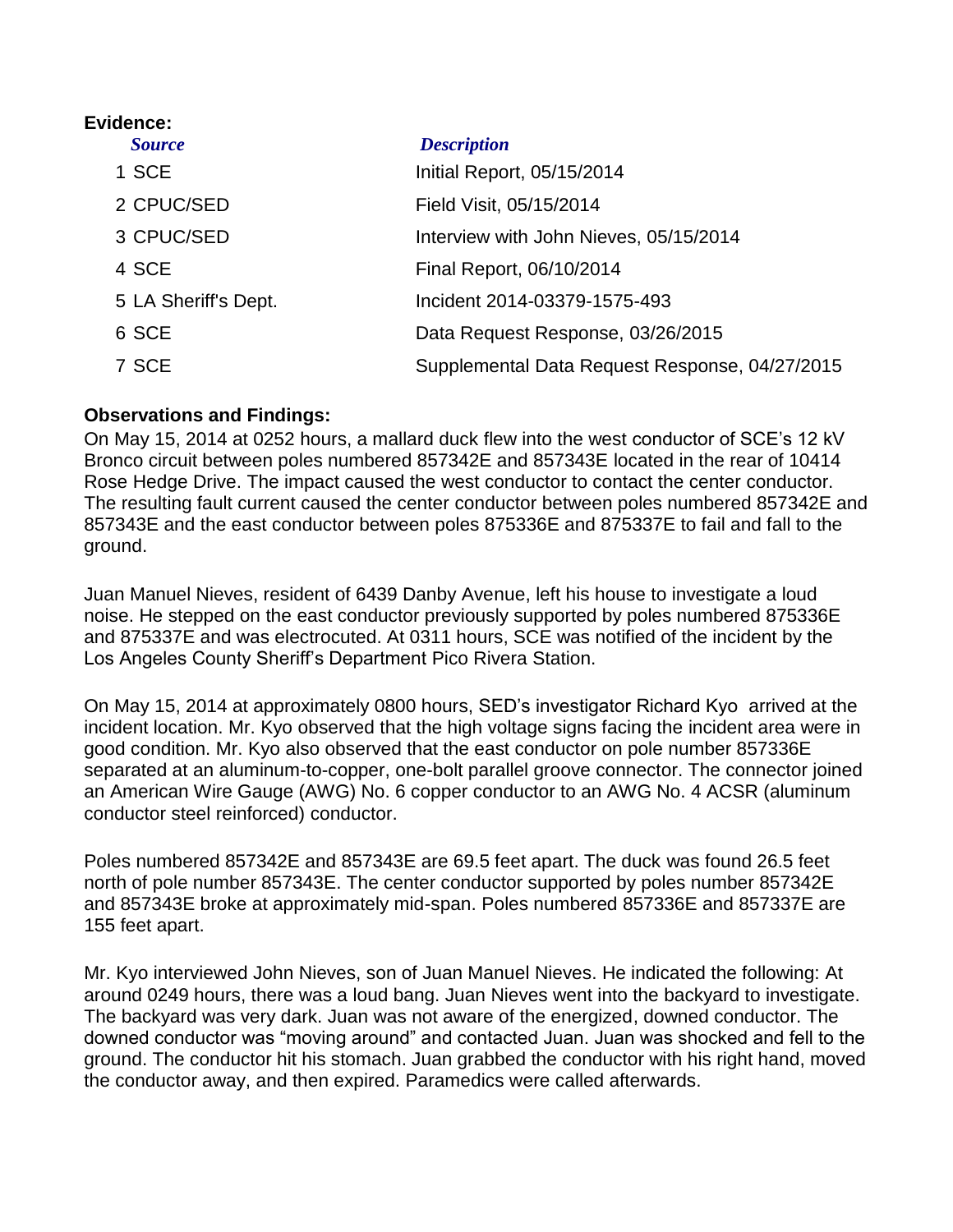# **Evidence:** *Source Description* 1 SCE **Initial Report, 05/15/2014** 2 CPUC/SED Field Visit, 05/15/2014 3 CPUC/SED Interview with John Nieves, 05/15/2014 4 SCE Final Report, 06/10/2014 5 LA Sheriff's Dept. Incident 2014-03379-1575-493 6 SCE Data Request Response, 03/26/2015 7 SCE Supplemental Data Request Response, 04/27/2015

### **Observations and Findings:**

On May 15, 2014 at 0252 hours, a mallard duck flew into the west conductor of SCE's 12 kV Bronco circuit between poles numbered 857342E and 857343E located in the rear of 10414 Rose Hedge Drive. The impact caused the west conductor to contact the center conductor. The resulting fault current caused the center conductor between poles numbered 857342E and 857343E and the east conductor between poles 875336E and 875337E to fail and fall to the ground.

Juan Manuel Nieves, resident of 6439 Danby Avenue, left his house to investigate a loud noise. He stepped on the east conductor previously supported by poles numbered 875336E and 875337E and was electrocuted. At 0311 hours, SCE was notified of the incident by the Los Angeles County Sheriff's Department Pico Rivera Station.

On May 15, 2014 at approximately 0800 hours, SED's investigator Richard Kyo arrived at the incident location. Mr. Kyo observed that the high voltage signs facing the incident area were in good condition. Mr. Kyo also observed that the east conductor on pole number 857336E separated at an aluminum-to-copper, one-bolt parallel groove connector. The connector joined an American Wire Gauge (AWG) No. 6 copper conductor to an AWG No. 4 ACSR (aluminum conductor steel reinforced) conductor.

Poles numbered 857342E and 857343E are 69.5 feet apart. The duck was found 26.5 feet north of pole number 857343E. The center conductor supported by poles number 857342E and 857343E broke at approximately mid-span. Poles numbered 857336E and 857337E are 155 feet apart.

Mr. Kyo interviewed John Nieves, son of Juan Manuel Nieves. He indicated the following: At around 0249 hours, there was a loud bang. Juan Nieves went into the backyard to investigate. The backyard was very dark. Juan was not aware of the energized, downed conductor. The downed conductor was "moving around" and contacted Juan. Juan was shocked and fell to the ground. The conductor hit his stomach. Juan grabbed the conductor with his right hand, moved the conductor away, and then expired. Paramedics were called afterwards.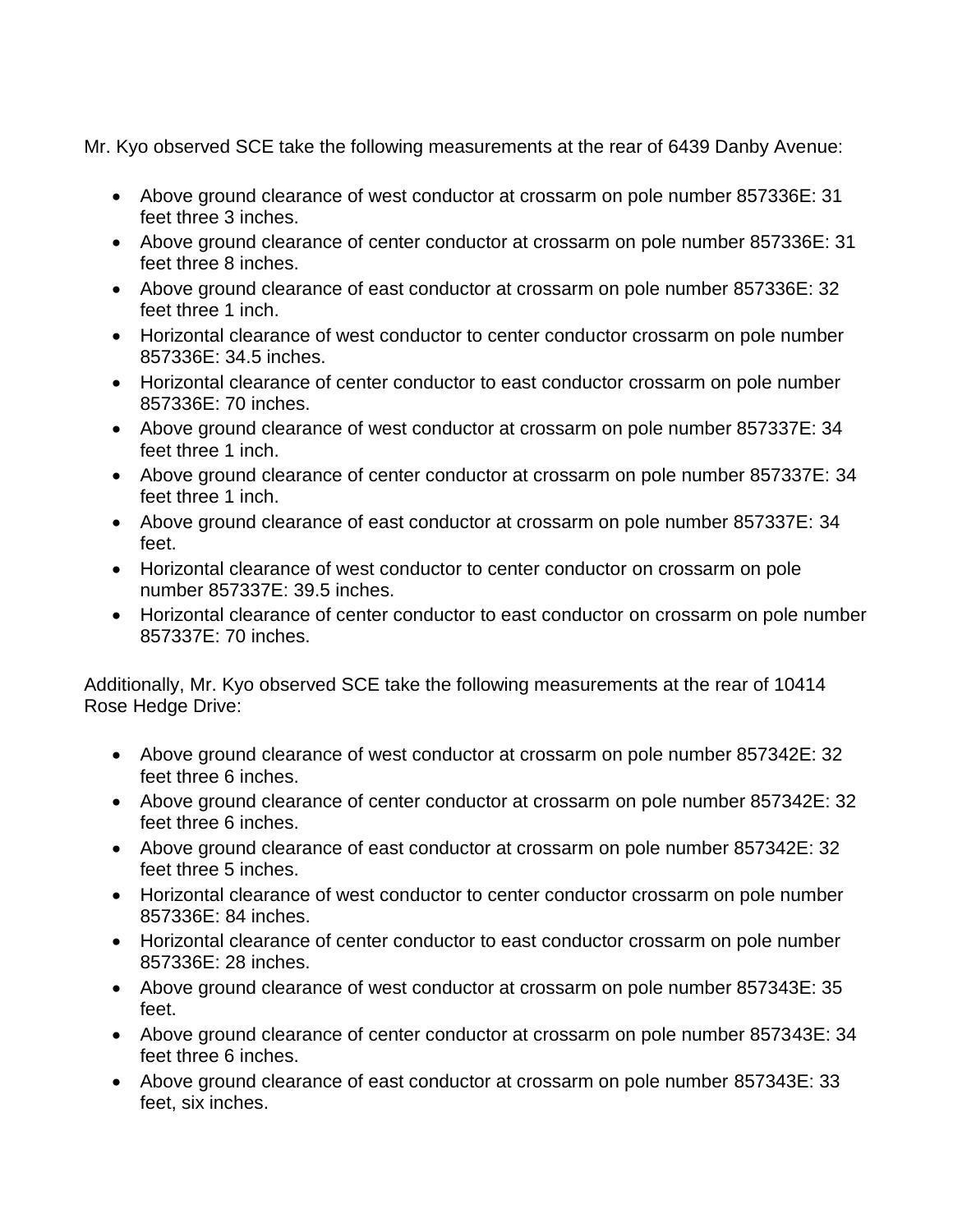Mr. Kyo observed SCE take the following measurements at the rear of 6439 Danby Avenue:

- Above ground clearance of west conductor at crossarm on pole number 857336E: 31 feet three 3 inches.
- Above ground clearance of center conductor at crossarm on pole number 857336E: 31 feet three 8 inches.
- Above ground clearance of east conductor at crossarm on pole number 857336E: 32 feet three 1 inch.
- Horizontal clearance of west conductor to center conductor crossarm on pole number 857336E: 34.5 inches.
- Horizontal clearance of center conductor to east conductor crossarm on pole number 857336E: 70 inches.
- Above ground clearance of west conductor at crossarm on pole number 857337E: 34 feet three 1 inch.
- Above ground clearance of center conductor at crossarm on pole number 857337E: 34 feet three 1 inch.
- Above ground clearance of east conductor at crossarm on pole number 857337E: 34 feet.
- Horizontal clearance of west conductor to center conductor on crossarm on pole number 857337E: 39.5 inches.
- Horizontal clearance of center conductor to east conductor on crossarm on pole number 857337E: 70 inches.

Additionally, Mr. Kyo observed SCE take the following measurements at the rear of 10414 Rose Hedge Drive:

- Above ground clearance of west conductor at crossarm on pole number 857342E: 32 feet three 6 inches.
- Above ground clearance of center conductor at crossarm on pole number 857342E: 32 feet three 6 inches.
- Above ground clearance of east conductor at crossarm on pole number 857342E: 32 feet three 5 inches.
- Horizontal clearance of west conductor to center conductor crossarm on pole number 857336E: 84 inches.
- Horizontal clearance of center conductor to east conductor crossarm on pole number 857336E: 28 inches.
- Above ground clearance of west conductor at crossarm on pole number 857343E: 35 feet.
- Above ground clearance of center conductor at crossarm on pole number 857343E: 34 feet three 6 inches.
- Above ground clearance of east conductor at crossarm on pole number 857343E: 33 feet, six inches.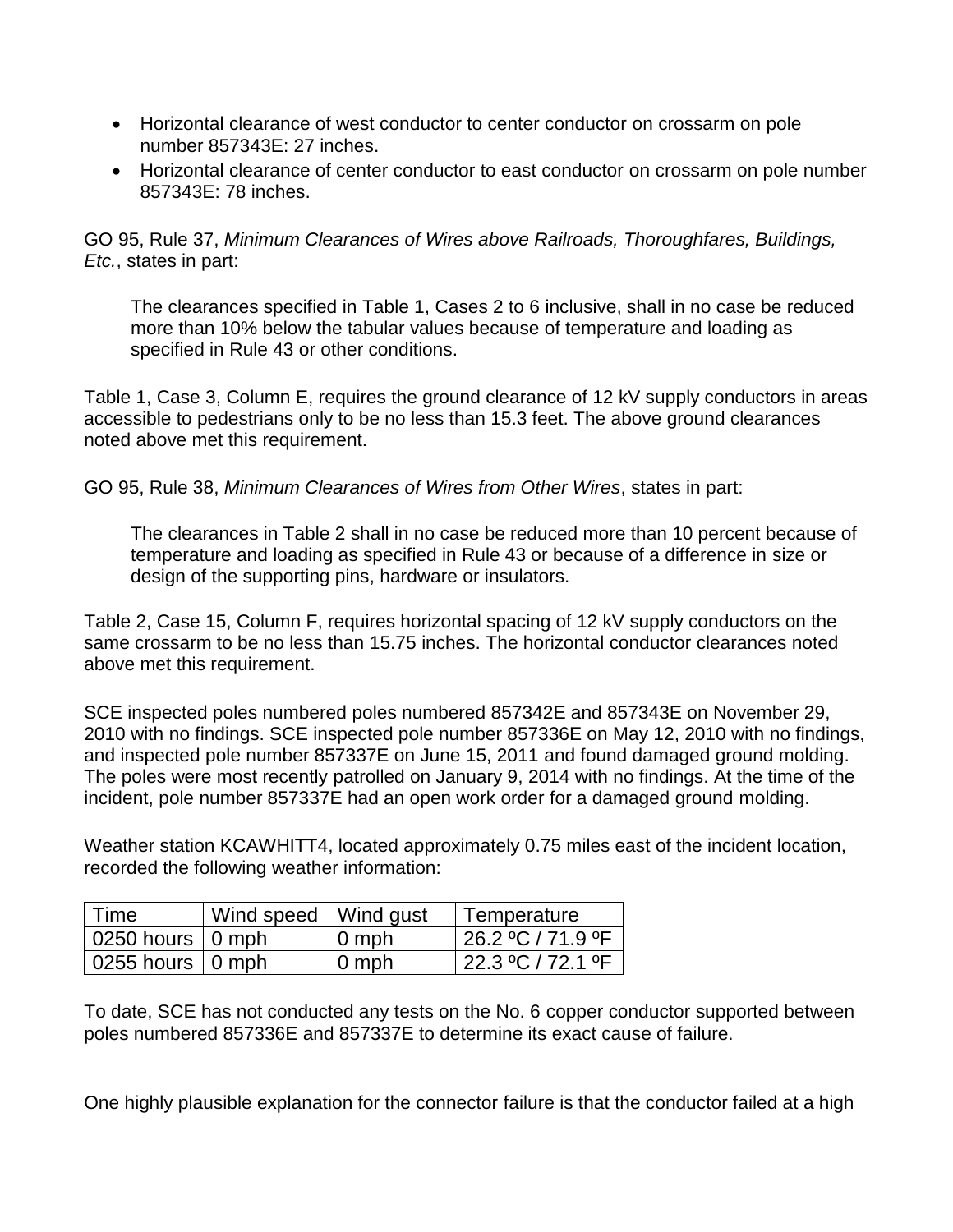- Horizontal clearance of west conductor to center conductor on crossarm on pole number 857343E: 27 inches.
- Horizontal clearance of center conductor to east conductor on crossarm on pole number 857343E: 78 inches.

GO 95, Rule 37, *Minimum Clearances of Wires above Railroads, Thoroughfares, Buildings, Etc.*, states in part:

The clearances specified in [Table 1, Cases 2 to 6](http://www.cpuc.ca.gov/gos/GO95/go_95_table_1.html) inclusive, shall in no case be reduced more than 10% below the tabular values because of temperature and loading as specified in [Rule 43](http://www.cpuc.ca.gov/gos/GO95/go_95_rule_43.html) or other conditions.

Table 1, Case 3, Column E, requires the ground clearance of 12 kV supply conductors in areas accessible to pedestrians only to be no less than 15.3 feet. The above ground clearances noted above met this requirement.

GO 95, Rule 38, *Minimum Clearances of Wires from Other Wires*, states in part:

The clearances in Table 2 shall in no case be reduced more than 10 percent because of temperature and loading as specified in Rule 43 or because of a difference in size or design of the supporting pins, hardware or insulators.

Table 2, Case 15, Column F, requires horizontal spacing of 12 kV supply conductors on the same crossarm to be no less than 15.75 inches. The horizontal conductor clearances noted above met this requirement.

SCE inspected poles numbered poles numbered 857342E and 857343E on November 29, 2010 with no findings. SCE inspected pole number 857336E on May 12, 2010 with no findings, and inspected pole number 857337E on June 15, 2011 and found damaged ground molding. The poles were most recently patrolled on January 9, 2014 with no findings. At the time of the incident, pole number 857337E had an open work order for a damaged ground molding.

Weather station KCAWHITT4, located approximately 0.75 miles east of the incident location, recorded the following weather information:

| l Time                           | Wind speed   Wind gust |       | Temperature                               |
|----------------------------------|------------------------|-------|-------------------------------------------|
| $\vert$ 0250 hours $\vert$ 0 mph |                        | 0 mph | l 26.2 °C / 71.9 °F                       |
| $\vert$ 0255 hours $\vert$ 0 mph |                        | 0 mph | $\frac{22.3 \text{ °C}}{72.1 \text{ °F}}$ |

To date, SCE has not conducted any tests on the No. 6 copper conductor supported between poles numbered 857336E and 857337E to determine its exact cause of failure.

One highly plausible explanation for the connector failure is that the conductor failed at a high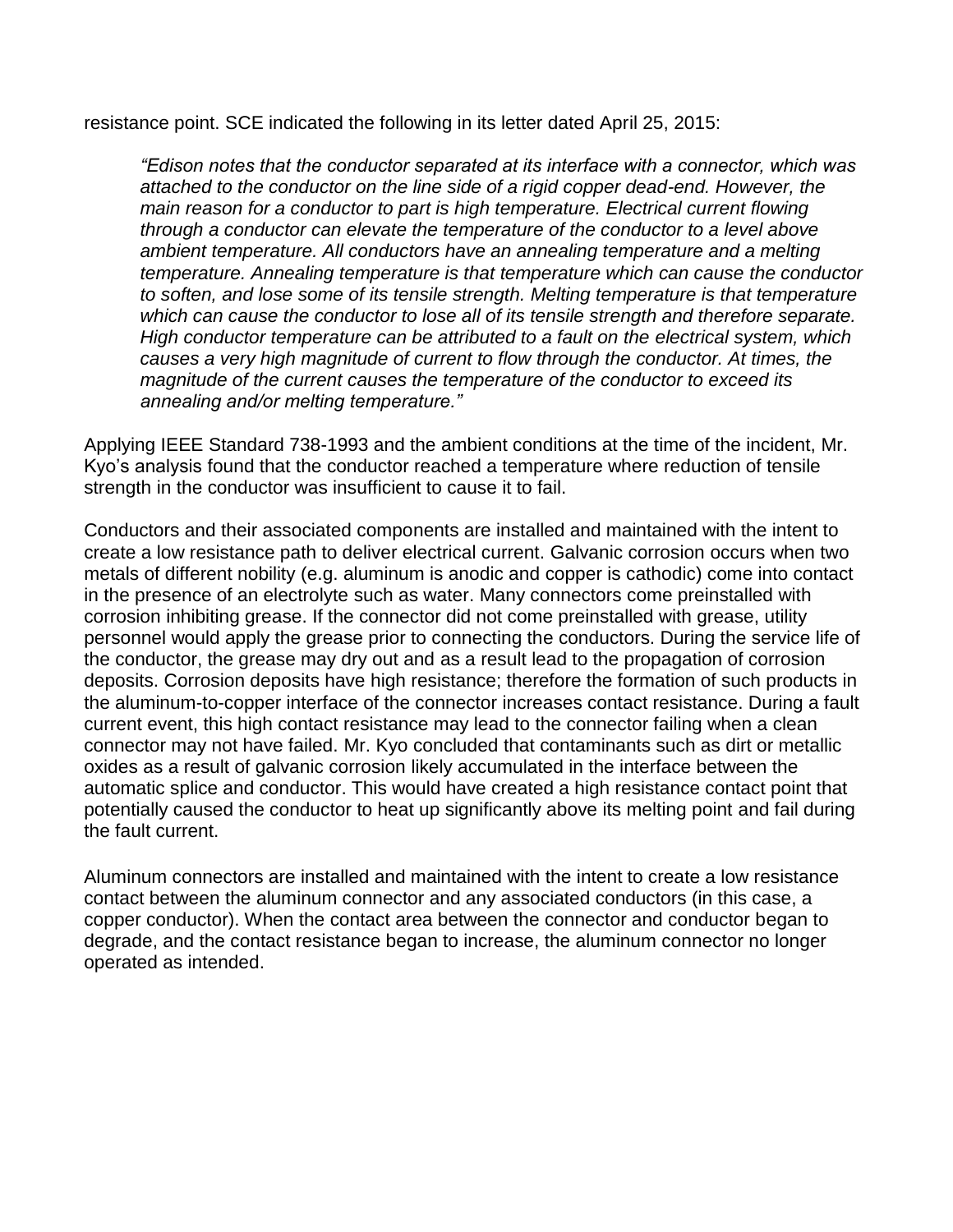resistance point. SCE indicated the following in its letter dated April 25, 2015:

*"Edison notes that the conductor separated at its interface with a connector, which was attached to the conductor on the line side of a rigid copper dead-end. However, the main reason for a conductor to part is high temperature. Electrical current flowing through a conductor can elevate the temperature of the conductor to a level above ambient temperature. All conductors have an annealing temperature and a melting temperature. Annealing temperature is that temperature which can cause the conductor to soften, and lose some of its tensile strength. Melting temperature is that temperature which can cause the conductor to lose all of its tensile strength and therefore separate. High conductor temperature can be attributed to a fault on the electrical system, which causes a very high magnitude of current to flow through the conductor. At times, the magnitude of the current causes the temperature of the conductor to exceed its annealing and/or melting temperature."*

Applying IEEE Standard 738-1993 and the ambient conditions at the time of the incident, Mr. Kyo's analysis found that the conductor reached a temperature where reduction of tensile strength in the conductor was insufficient to cause it to fail.

Conductors and their associated components are installed and maintained with the intent to create a low resistance path to deliver electrical current. Galvanic corrosion occurs when two metals of different nobility (e.g. aluminum is anodic and copper is cathodic) come into contact in the presence of an electrolyte such as water. Many connectors come preinstalled with corrosion inhibiting grease. If the connector did not come preinstalled with grease, utility personnel would apply the grease prior to connecting the conductors. During the service life of the conductor, the grease may dry out and as a result lead to the propagation of corrosion deposits. Corrosion deposits have high resistance; therefore the formation of such products in the aluminum-to-copper interface of the connector increases contact resistance. During a fault current event, this high contact resistance may lead to the connector failing when a clean connector may not have failed. Mr. Kyo concluded that contaminants such as dirt or metallic oxides as a result of galvanic corrosion likely accumulated in the interface between the automatic splice and conductor. This would have created a high resistance contact point that potentially caused the conductor to heat up significantly above its melting point and fail during the fault current.

Aluminum connectors are installed and maintained with the intent to create a low resistance contact between the aluminum connector and any associated conductors (in this case, a copper conductor). When the contact area between the connector and conductor began to degrade, and the contact resistance began to increase, the aluminum connector no longer operated as intended.